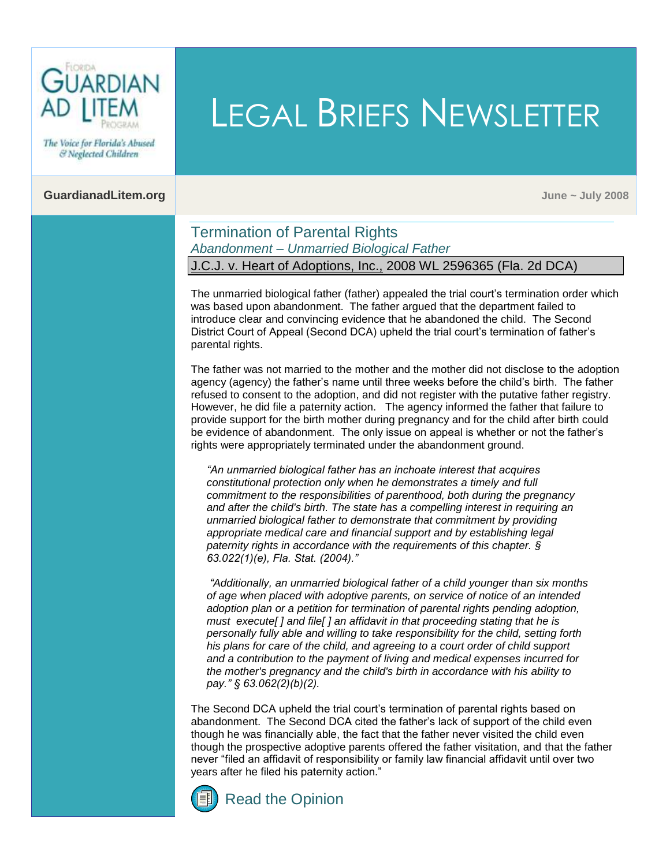

The Voice for Florida's Abused & Neglected Children

#### **GuardianadLitem.org June ~ July 2008**

### Termination of Parental Rights *Abandonment – Unmarried Biological Father* J.C.J. v. Heart of Adoptions, Inc., 2008 WL 2596365 (Fla. 2d DCA)

The unmarried biological father (father) appealed the trial court's termination order which was based upon abandonment. The father argued that the department failed to introduce clear and convincing evidence that he abandoned the child. The Second District Court of Appeal (Second DCA) upheld the trial court's termination of father's parental rights.

LEGAL BRIEFS NEWSLETTER

The father was not married to the mother and the mother did not disclose to the adoption agency (agency) the father's name until three weeks before the child's birth. The father refused to consent to the adoption, and did not register with the putative father registry. However, he did file a paternity action. The agency informed the father that failure to provide support for the birth mother during pregnancy and for the child after birth could be evidence of abandonment. The only issue on appeal is whether or not the father's rights were appropriately terminated under the abandonment ground.

*"An unmarried biological father has an inchoate interest that acquires constitutional protection only when he demonstrates a timely and full commitment to the responsibilities of parenthood, both during the pregnancy and after the child's birth. The state has a compelling interest in requiring an unmarried biological father to demonstrate that commitment by providing appropriate medical care and financial support and by establishing legal paternity rights in accordance with the requirements of this chapter. § [63.022\(1\)\(e\), Fla. Stat. \(2004\)."](http://www.flsenate.gov/Statutes/index.cfm?App_mode=Display_Statute&Search_String=&URL=Ch0063/SEC022.HTM&Title=->2004->Ch0063->Section%20022#0063.022)*

*"Additionally, an unmarried biological father of a child younger than six months of age when placed with adoptive parents, on service of notice of an intended adoption plan or a petition for termination of parental rights pending adoption, must execute[ ] and file[ ] an affidavit in that proceeding stating that he is personally fully able and willing to take responsibility for the child, setting forth his plans for care of the child, and agreeing to a court order of child support and a contribution to the payment of living and medical expenses incurred for the mother's pregnancy and the child's birth in accordance with his ability to pay.[" § 63.062\(2\)\(b\)\(2\).](http://www.flsenate.gov/Statutes/index.cfm?App_mode=Display_Statute&Search_String=&URL=Ch0063/SEC062.HTM&Title=->2004->Ch0063->Section%20062#0063.062)*

The Second DCA upheld the trial court's termination of parental rights based on abandonment. The Second DCA cited the father's lack of support of the child even though he was financially able, the fact that the father never visited the child even though the prospective adoptive parents offered the father visitation, and that the father never "filed an affidavit of responsibility or family law financial affidavit until over two years after he filed his paternity action."



[Read the Opinion](http://www.2dca.org/opinions/Opinion_Pages/Opinion_Page_2008/July/July%2002,%202008/2D07-2679.pdf)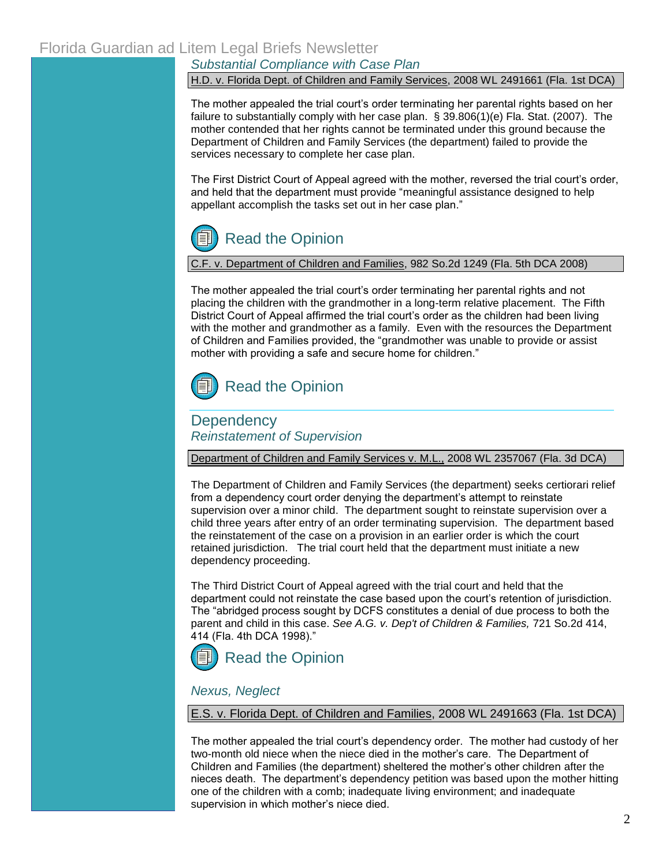*Substantial Compliance with Case Plan*

#### H.D. v. Florida Dept. of Children and Family Services, 2008 WL 2491661 (Fla. 1st DCA)

The mother appealed the trial court's order terminating her parental rights based on her failure to substantially comply with her case plan[. § 39.806\(1\)\(e\) Fla. Stat. \(2007\). T](http://www.flsenate.gov/Statutes/index.cfm?App_mode=Display_Statute&Search_String=&URL=Ch0039/SEC806.HTM&Title=->2007->Ch0039->Section%20806#0039.806)he mother contended that her rights cannot be terminated under this ground because the Department of Children and Family Services (the department) failed to provide the services necessary to complete her case plan.

The First District Court of Appeal agreed with the mother, reversed the trial court's order, and held that the department must provide "meaningful assistance designed to help appellant accomplish the tasks set out in her case plan."



### C.F. v. Department of Children and Families, 982 So.2d 1249 (Fla. 5th DCA 2008)

The mother appealed the trial court's order terminating her parental rights and not placing the children with the grandmother in a long-term relative placement. The Fifth District Court of Appeal affirmed the trial court's order as the children had been living with the mother and grandmother as a family. Even with the resources the Department of Children and Families provided, the "grandmother was unable to provide or assist mother with providing a safe and secure home for children."

# [Read the Opinion](http://www.5dca.org/Opinions/Opin2008/052608/5D07-4096.op.pdf)

### **Dependency** *Reinstatement of Supervision*

Department of Children and Family Services v. M.L., 2008 WL 2357067 (Fla. 3d DCA)

The Department of Children and Family Services (the department) seeks certiorari relief from a dependency court order denying the department's attempt to reinstate supervision over a minor child. The department sought to reinstate supervision over a child three years after entry of an order terminating supervision. The department based the reinstatement of the case on a provision in an earlier order is which the court retained jurisdiction. The trial court held that the department must initiate a new dependency proceeding.

The Third District Court of Appeal agreed with the trial court and held that the department could not reinstate the case based upon the court's retention of jurisdiction. The "abridged process sought by DCFS constitutes a denial of due process to both the parent and child in this case. *See A.G. v. Dep't of Children & Families,* 721 So.2d 414, 414 (Fla. 4th DCA 1998)."

# [Read the Opinion](http://www.3dca.flcourts.org/Opinions/3D08-1187.pdf)

#### *Nexus, Neglect*

#### E.S. v. Florida Dept. of Children and Families, 2008 WL 2491663 (Fla. 1st DCA)

The mother appealed the trial court's dependency order. The mother had custody of her two-month old niece when the niece died in the mother's care. The Department of Children and Families (the department) sheltered the mother's other children after the nieces death. The department's dependency petition was based upon the mother hitting one of the children with a comb; inadequate living environment; and inadequate supervision in which mother's niece died.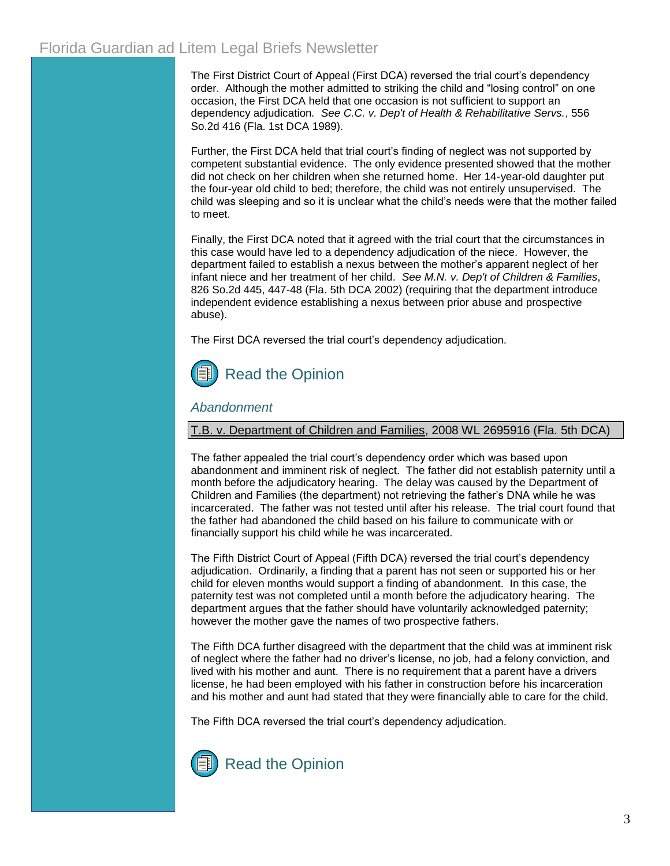The First District Court of Appeal (First DCA) reversed the trial court's dependency order. Although the mother admitted to striking the child and "losing control" on one occasion, the First DCA held that one occasion is not sufficient to support an dependency adjudication*. See C.C. v. Dep't of Health & Rehabilitative Servs.*, 556 So.2d 416 (Fla. 1st DCA 1989).

Further, the First DCA held that trial court's finding of neglect was not supported by competent substantial evidence. The only evidence presented showed that the mother did not check on her children when she returned home. Her 14-year-old daughter put the four-year old child to bed; therefore, the child was not entirely unsupervised. The child was sleeping and so it is unclear what the child's needs were that the mother failed to meet.

Finally, the First DCA noted that it agreed with the trial court that the circumstances in this case would have led to a dependency adjudication of the niece. However, the department failed to establish a nexus between the mother's apparent neglect of her infant niece and her treatment of her child. *See M.N. v. Dep't of Children & Families*, 826 So.2d 445, 447-48 (Fla. 5th DCA 2002) (requiring that the department introduce independent evidence establishing a nexus between prior abuse and prospective abuse).

The First DCA reversed the trial court's dependency adjudication.



### *Abandonment*

#### T.B. v. Department of Children and Families, 2008 WL 2695916 (Fla. 5th DCA)

The father appealed the trial court's dependency order which was based upon abandonment and imminent risk of neglect. The father did not establish paternity until a month before the adjudicatory hearing. The delay was caused by the Department of Children and Families (the department) not retrieving the father's DNA while he was incarcerated. The father was not tested until after his release. The trial court found that the father had abandoned the child based on his failure to communicate with or financially support his child while he was incarcerated.

The Fifth District Court of Appeal (Fifth DCA) reversed the trial court's dependency adjudication. Ordinarily, a finding that a parent has not seen or supported his or her child for eleven months would support a finding of abandonment. In this case, the paternity test was not completed until a month before the adjudicatory hearing. The department argues that the father should have voluntarily acknowledged paternity; however the mother gave the names of two prospective fathers.

The Fifth DCA further disagreed with the department that the child was at imminent risk of neglect where the father had no driver's license, no job, had a felony conviction, and lived with his mother and aunt. There is no requirement that a parent have a drivers license, he had been employed with his father in construction before his incarceration and his mother and aunt had stated that they were financially able to care for the child.

The Fifth DCA reversed the trial court's dependency adjudication.

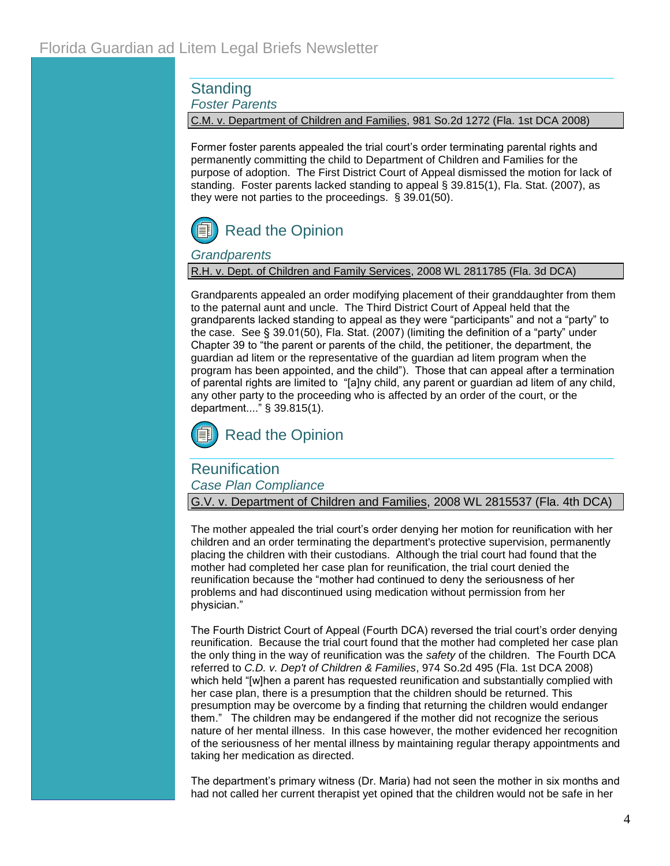**Standing** 

*Foster Parents*

C.M. v. Department of Children and Families, 981 So.2d 1272 (Fla. 1st DCA 2008)

Former foster parents appealed the trial court's order terminating parental rights and permanently committing the child to Department of Children and Families for the purpose of adoption. The First District Court of Appeal dismissed the motion for lack of standing. Foster parents lacked standing to appeal [§ 39.815\(1\), Fla. Stat.](http://www.flsenate.gov/Statutes/index.cfm?App_mode=Display_Statute&Search_String=&URL=Ch0039/SEC815.HTM&Title=->2007->Ch0039->Section%20815#0039.815) (2007), as they were not parties to the proceedings. [§ 39.01\(50\).](http://www.flsenate.gov/Statutes/index.cfm?App_mode=Display_Statute&Search_String=&URL=Ch0039/SEC01.HTM&Title=->2007->Ch0039->Section%2001#0039.01)



### *Grandparents*

R.H. v. Dept. of Children and Family Services, 2008 WL 2811785 (Fla. 3d DCA)

Grandparents appealed an order modifying placement of their granddaughter from them to the paternal aunt and uncle. The Third District Court of Appeal held that the grandparents lacked standing to appeal as they were "participants" and not a "party" to the case. See [§ 39.01\(50\), Fla. Stat. \(2007\)](http://www.flsenate.gov/Statutes/index.cfm?App_mode=Display_Statute&Search_String=&URL=Ch0039/SEC01.HTM&Title=->2007->Ch0039->Section%2001#0039.01) (limiting the definition of a "party" under Chapter 39 to "the parent or parents of the child, the petitioner, the department, the guardian ad litem or the representative of the guardian ad litem program when the program has been appointed, and the child"). Those that can appeal after a termination of parental rights are limited to "[a]ny child, any parent or guardian ad litem of any child, any other party to the proceeding who is affected by an order of the court, or the department...." § [39.815\(1\).](http://www.flsenate.gov/Statutes/index.cfm?App_mode=Display_Statute&Search_String=&URL=Ch0039/SEC815.HTM&Title=->2007->Ch0039->Section%20815#0039.815)



## **Reunification**

*Case Plan Compliance*

G.V. v. Department of Children and Families, 2008 WL 2815537 (Fla. 4th DCA)

The mother appealed the trial court's order denying her motion for reunification with her children and an order terminating the department's protective supervision, permanently placing the children with their custodians. Although the trial court had found that the mother had completed her case plan for reunification, the trial court denied the reunification because the "mother had continued to deny the seriousness of her problems and had discontinued using medication without permission from her physician."

The Fourth District Court of Appeal (Fourth DCA) reversed the trial court's order denying reunification. Because the trial court found that the mother had completed her case plan the only thing in the way of reunification was the *safety* of the children. The Fourth DCA referred to *C.D. v. Dep't of Children & Families*[, 974 So.2d 495 \(Fla. 1st DCA 2008\)](http://web2.westlaw.com/find/default.wl?tf=-1&rs=WLW8.07&referencepositiontype=S&serialnum=2014959077&fn=_top&findtype=Y&referenceposition=499&tc=-1&ordoc=2016582784&db=735&vr=2.0&rp=%2ffind%2fdefault.wl) which held "[w]hen a parent has requested reunification and substantially complied with her case plan, there is a presumption that the children should be returned. This presumption may be overcome by a finding that returning the children would endanger them." The children may be endangered if the mother did not recognize the serious nature of her mental illness. In this case however, the mother evidenced her recognition of the seriousness of her mental illness by maintaining regular therapy appointments and taking her medication as directed.

The department's primary witness (Dr. Maria) had not seen the mother in six months and had not called her current therapist yet opined that the children would not be safe in her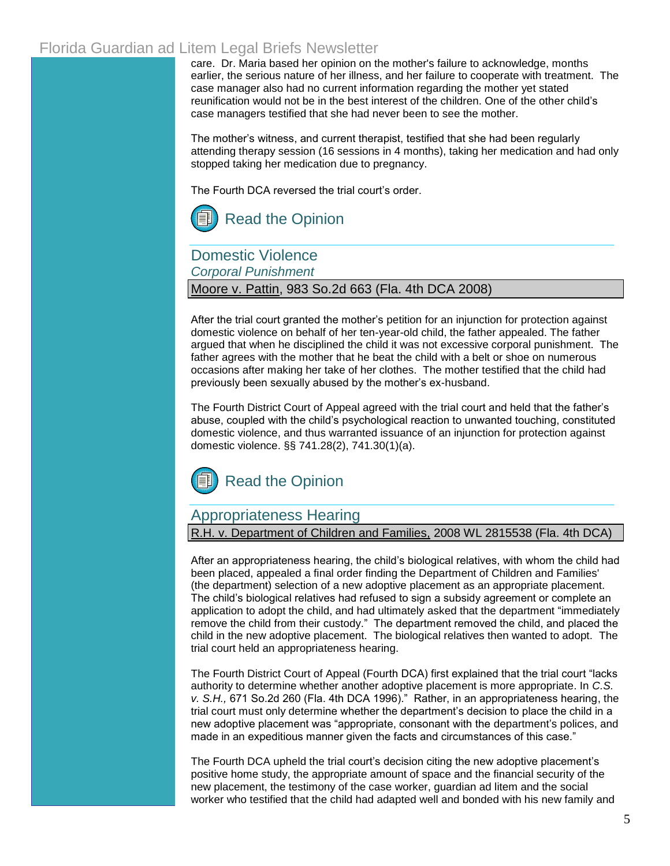care. Dr. Maria based her opinion on the mother's failure to acknowledge, months earlier, the serious nature of her illness, and her failure to cooperate with treatment. The case manager also had no current information regarding the mother yet stated reunification would not be in the best interest of the children. One of the other child's case managers testified that she had never been to see the mother.

The mother's witness, and current therapist, testified that she had been regularly attending therapy session (16 sessions in 4 months), taking her medication and had only stopped taking her medication due to pregnancy.

The Fourth DCA reversed the trial court's order.



Domestic Violence

*Corporal Punishment*

#### Moore v. Pattin, 983 So.2d 663 (Fla. 4th DCA 2008)

After the trial court granted the mother's petition for an injunction for protection against domestic violence on behalf of her ten-year-old child, the father appealed. The father argued that when he disciplined the child it was not excessive corporal punishment. The father agrees with the mother that he beat the child with a belt or shoe on numerous occasions after making her take of her clothes. The mother testified that the child had previously been sexually abused by the mother's ex-husband.

The Fourth District Court of Appeal agreed with the trial court and held that the father's abuse, coupled with the child's psychological reaction to unwanted touching, constituted domestic violence, and thus warranted issuance of an injunction for protection against domestic violence. [§§ 741.28\(2\),](http://www.flsenate.gov/Statutes/index.cfm?App_mode=Display_Statute&Search_String=&URL=Ch0741/SEC28.HTM&Title=->2007->Ch0741->Section%2028#0741.28) [741.30\(1\)\(a\).](http://www.flsenate.gov/Statutes/index.cfm?App_mode=Display_Statute&Search_String=&URL=Ch0741/SEC30.HTM&Title=->2007->Ch0741->Section%2030#0741.30)



# Appropriateness Hearing

R.H. v. Department of Children and Families, 2008 WL 2815538 (Fla. 4th DCA)

After an appropriateness hearing, the child's biological relatives, with whom the child had been placed, appealed a final order finding the Department of Children and Families' (the department) selection of a new adoptive placement as an appropriate placement. The child's biological relatives had refused to sign a subsidy agreement or complete an application to adopt the child, and had ultimately asked that the department "immediately remove the child from their custody." The department removed the child, and placed the child in the new adoptive placement. The biological relatives then wanted to adopt. The trial court held an appropriateness hearing.

The Fourth District Court of Appeal (Fourth DCA) first explained that the trial court "lacks authority to determine whether another adoptive placement is more appropriate. In *C.S. v. S.H.,* 671 So.2d 260 (Fla. 4th DCA 1996)." Rather, in an appropriateness hearing, the trial court must only determine whether the department's decision to place the child in a new adoptive placement was "appropriate, consonant with the department's polices, and made in an expeditious manner given the facts and circumstances of this case."

The Fourth DCA upheld the trial court's decision citing the new adoptive placement's positive home study, the appropriate amount of space and the financial security of the new placement, the testimony of the case worker, guardian ad litem and the social worker who testified that the child had adapted well and bonded with his new family and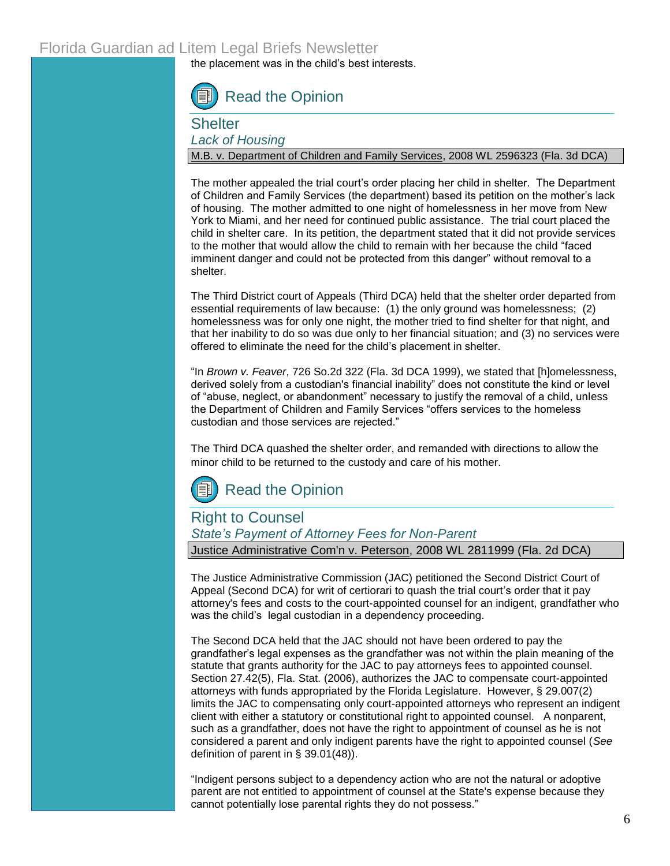the placement was in the child's best interests.

[Read the Opinion](http://www.4dca.org/opinions/July2008/07-23-08/Cleaned4D08-286.op.pdf)

**Shelter** 

*Lack of Housing*

M.B. v. Department of Children and Family Services, 2008 WL 2596323 (Fla. 3d DCA)

The mother appealed the trial court's order placing her child in shelter. The Department of Children and Family Services (the department) based its petition on the mother's lack of housing. The mother admitted to one night of homelessness in her move from New York to Miami, and her need for continued public assistance. The trial court placed the child in shelter care. In its petition, the department stated that it did not provide services to the mother that would allow the child to remain with her because the child "faced imminent danger and could not be protected from this danger" without removal to a shelter.

The Third District court of Appeals (Third DCA) held that the shelter order departed from essential requirements of law because: (1) the only ground was homelessness; (2) homelessness was for only one night, the mother tried to find shelter for that night, and that her inability to do so was due only to her financial situation; and (3) no services were offered to eliminate the need for the child's placement in shelter.

"In *Brown v. Feaver*, 726 So.2d 322 (Fla. 3d DCA 1999), we stated that [h]omelessness, derived solely from a custodian's financial inability" does not constitute the kind or level of "abuse, neglect, or abandonment" necessary to justify the removal of a child, unless the Department of Children and Family Services "offers services to the homeless custodian and those services are rejected."

The Third DCA quashed the shelter order, and remanded with directions to allow the minor child to be returned to the custody and care of his mother.



## Right to Counsel *State's Payment of Attorney Fees for Non-Parent* Justice Administrative Com'n v. Peterson, 2008 WL 2811999 (Fla. 2d DCA)

The Justice Administrative Commission (JAC) petitioned the Second District Court of Appeal (Second DCA) for writ of certiorari to quash the trial court's order that it pay attorney's fees and costs to the court-appointed counsel for an indigent, grandfather who was the child's legal custodian in a dependency proceeding.

The Second DCA held that the JAC should not have been ordered to pay the grandfather's legal expenses as the grandfather was not within the plain meaning of the statute that grants authority for the JAC to pay attorneys fees to appointed counsel. [Section 27.42\(5\), Fla. Stat.](http://www.flsenate.gov/Statutes/index.cfm?App_mode=Display_Statute&Search_String=&URL=Ch0027/SEC42.HTM&Title=->2006->Ch0027->Section%2042#0027.42) (2006), authorizes the JAC to compensate court-appointed attorneys with funds appropriated by the Florida Legislature. However, [§ 29.007\(2\)](http://www.flsenate.gov/Statutes/index.cfm?App_mode=Display_Statute&Search_String=&URL=Ch0029/SEC007.HTM&Title=->2006->Ch0029->Section%20007#0029.007)  limits the JAC to compensating only court-appointed attorneys who represent an indigent client with either a statutory or constitutional right to appointed counsel. A nonparent, such as a grandfather, does not have the right to appointment of counsel as he is not considered a parent and only indigent parents have the right to appointed counsel (*See* definition of parent in [§ 39.01\(48\)\).](http://www.flsenate.gov/Statutes/index.cfm?App_mode=Display_Statute&Search_String=&URL=Ch0039/SEC01.HTM&Title=->2007->Ch0039->Section%2001#0039.01) 

"Indigent persons subject to a dependency action who are not the natural or adoptive parent are not entitled to appointment of counsel at the State's expense because they cannot potentially lose parental rights they do not possess."